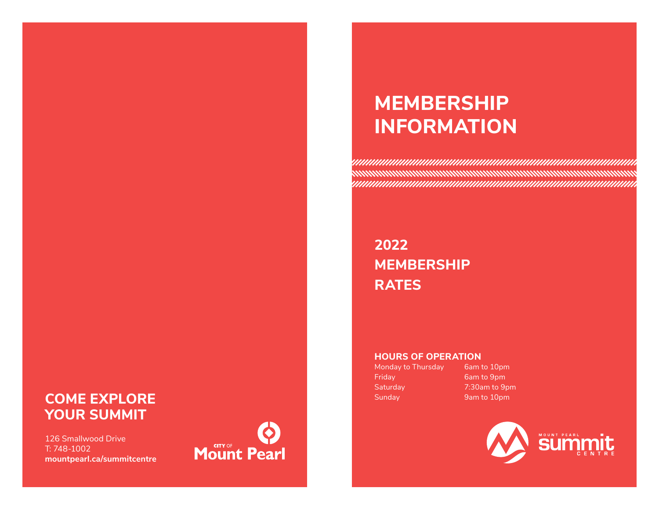# **MEMBERSHIP INFORMATION**

**2022 MEMBERSHIP RATES** 

### **HOURS OF OPERATION**

Friday 6am to 9pm Saturday 7:30am to 9pm

Monday to Thursday 6am to 10pm



# **COME EXPLORE Sunday** 9am to 10pm **YOUR SUMMIT**

126 Smallwood Drive T: 748-1002 **mountpearl.ca/summitcentre**